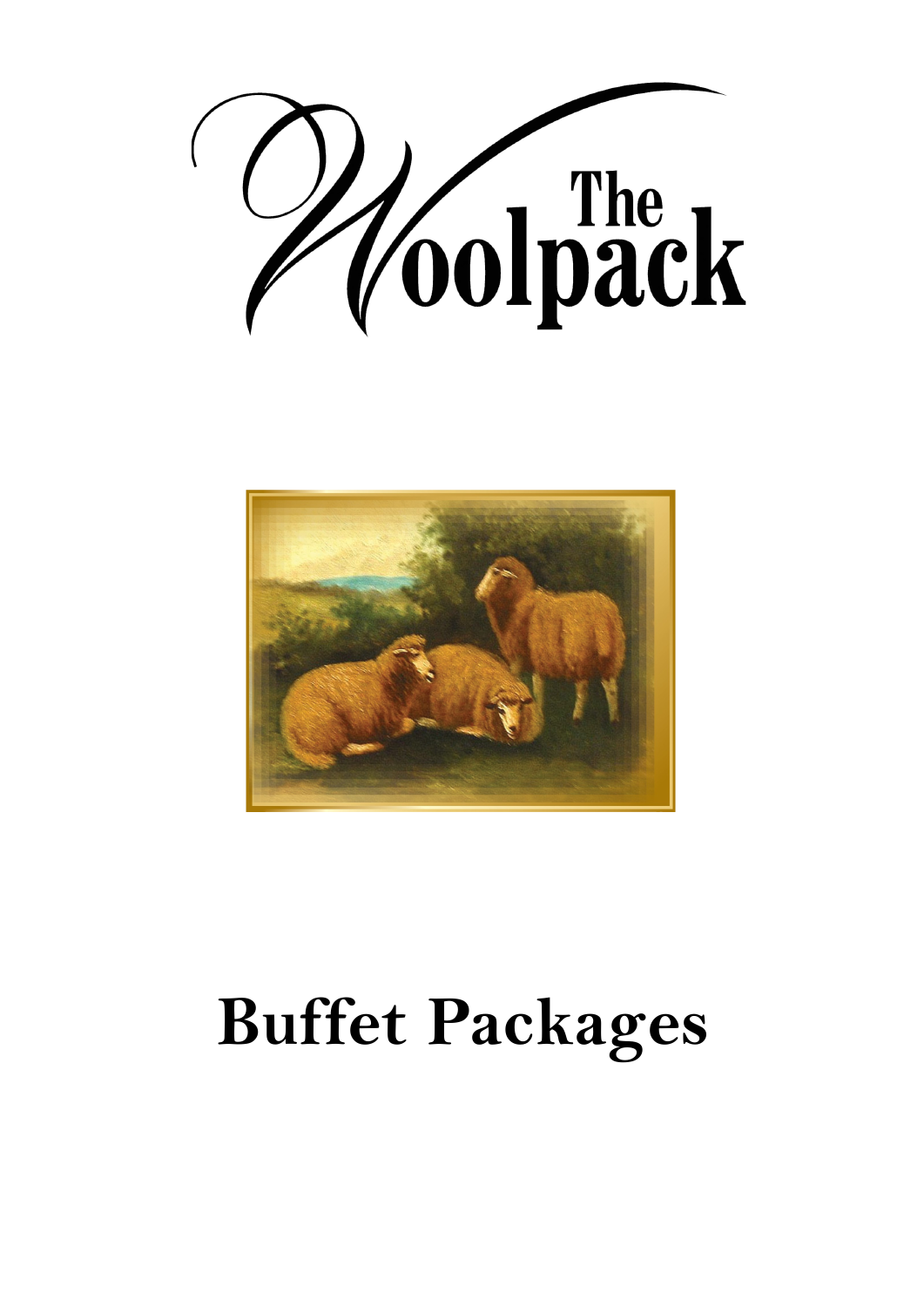



# **Buffet Packages**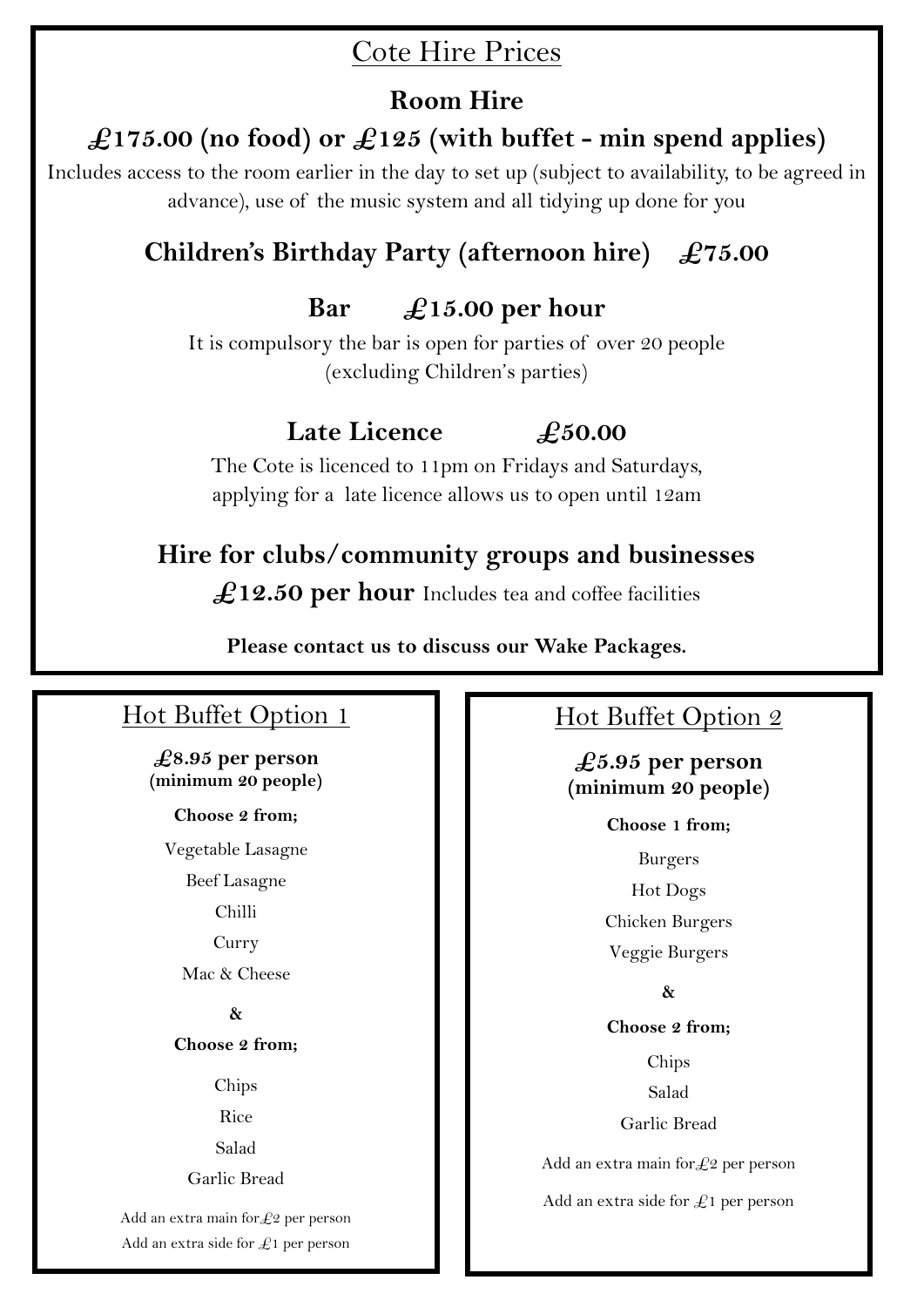#### Cote Hire Prices

#### **Room Hire**

#### **£175.00 (no food) or £125 (with buffet - min spend applies)**

Includes access to the room earlier in the day to set up (subject to availability, to be agreed in advance), use of the music system and all tidying up done for you

### **Children's Birthday Party (afternoon hire) £75.00**

#### **Bar £15.00 per hour**

It is compulsory the bar is open for parties of over 20 people (excluding Children's parties)

#### **Late Licence £50.00**

The Cote is licenced to 11pm on Fridays and Saturdays, applying for a late licence allows us to open until 12am

#### **Hire for clubs/community groups and businesses**

£12.50 per hour Includes tea and coffee facilities

**Please contact us to discuss our Wake Packages.**

#### Hot Buffet Option 1

**£8.95 per person (minimum 20 people)**

**Choose 2 from;**

Vegetable Lasagne

Beef Lasagne

Chilli

Curry

Mac & Cheese

**&**

**Choose 2 from;**

Chips

Rice

Salad

Garlic Bread

Add an extra main for  $\&$ 2 per person Add an extra side for  $\mathcal{L}1$  per person

#### Hot Buffet Option 2

**£5.95 per person (minimum 20 people)**

> **Choose 1 from;** Burgers

Hot Dogs Chicken Burgers Veggie Burgers

**&**

**Choose 2 from;** Chips Salad Garlic Bread

Add an extra main for  $\text{E}2$  per person

Add an extra side for  $\mathcal{L}1$  per person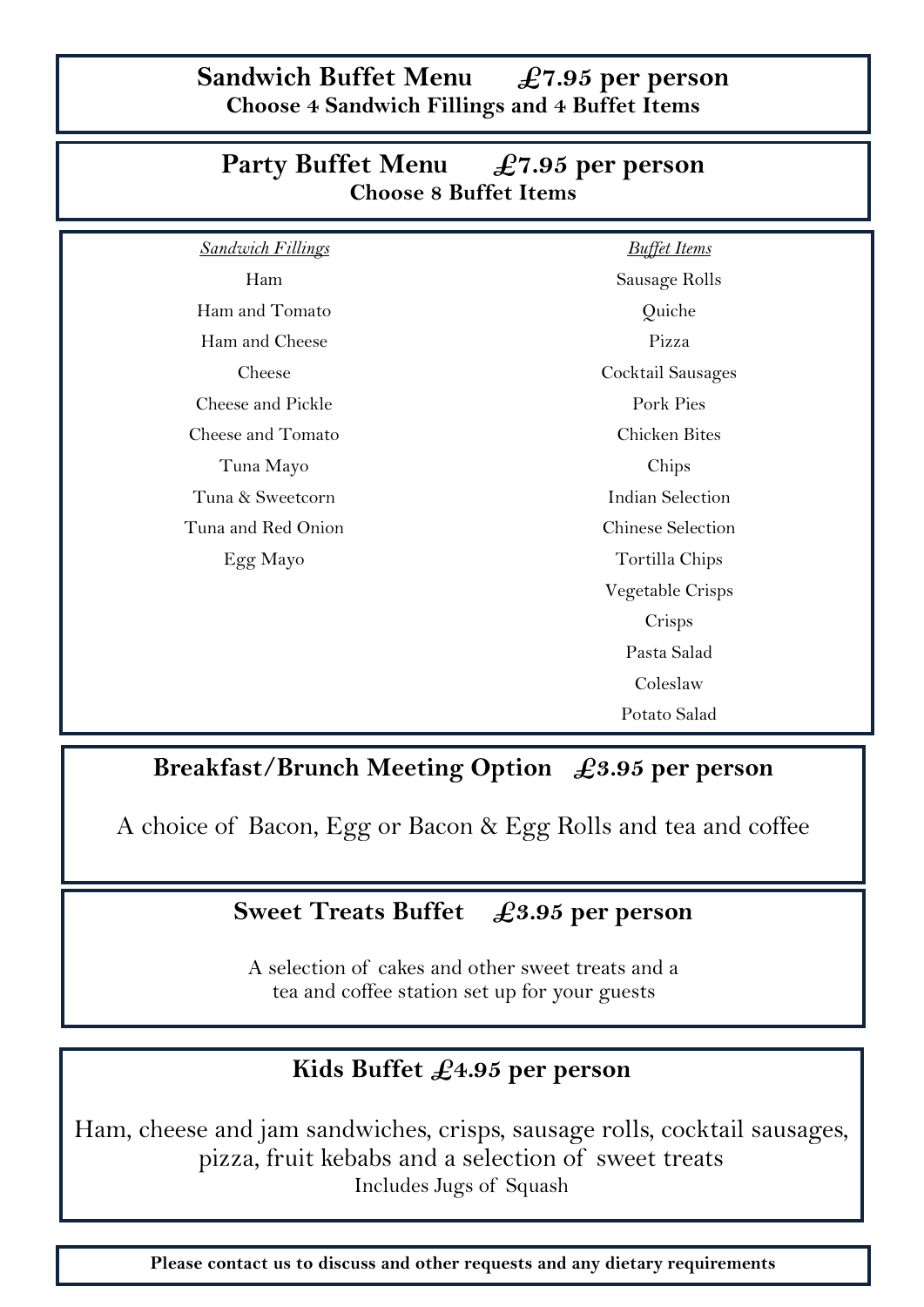**Sandwich Buffet Menu £7.95 per person Choose 4 Sandwich Fillings and 4 Buffet Items**

| $\mathcal{L}$ and $\mathcal{L}$ below the $\mathcal{L}$ and $\mathcal{L}$ and $\mathcal{L}$ below the set of $\mathcal{L}$<br><b>Choose 8 Buffet Items</b> |                         |
|------------------------------------------------------------------------------------------------------------------------------------------------------------|-------------------------|
| <b>Sandwich Fillings</b>                                                                                                                                   | <b>Buffet Items</b>     |
| Ham                                                                                                                                                        | Sausage Rolls           |
| Ham and Tomato                                                                                                                                             | Quiche                  |
| Ham and Cheese                                                                                                                                             | Pizza                   |
| Cheese                                                                                                                                                     | Cocktail Sausages       |
| Cheese and Pickle                                                                                                                                          | Pork Pies               |
| Cheese and Tomato                                                                                                                                          | Chicken Bites           |
| Tuna Mayo                                                                                                                                                  | Chips                   |
| Tuna & Sweetcorn                                                                                                                                           | <b>Indian Selection</b> |
| Tuna and Red Onion                                                                                                                                         | Chinese Selection       |
| Egg Mayo                                                                                                                                                   | Tortilla Chips          |
|                                                                                                                                                            | Vegetable Crisps        |
|                                                                                                                                                            | Crisps                  |
|                                                                                                                                                            | Pasta Salad             |
|                                                                                                                                                            | Coleslaw                |
|                                                                                                                                                            | Potato Salad            |

## **Party Buffet Menu £7.95 per person**

#### **Breakfast/Brunch Meeting Option £3.95 per person**

A choice of Bacon, Egg or Bacon & Egg Rolls and tea and coffee

#### **Sweet Treats Buffet £3.95 per person**

A selection of cakes and other sweet treats and a tea and coffee station set up for your guests

#### **Kids Buffet £4.95 per person**

Ham, cheese and jam sandwiches, crisps, sausage rolls, cocktail sausages, pizza, fruit kebabs and a selection of sweet treats Includes Jugs of Squash

**Please contact us to discuss and other requests and any dietary requirements**